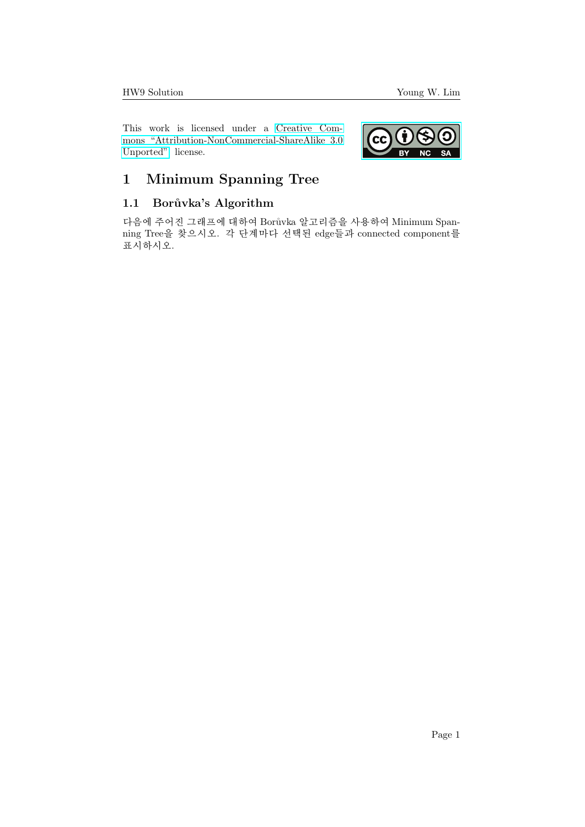This work is licensed under a [Creative Com](https://creativecommons.org/licenses/by-nc-sa/3.0/deed.en)[mons "Attribution-NonCommercial-ShareAlike 3.0](https://creativecommons.org/licenses/by-nc-sa/3.0/deed.en) [Unported"](https://creativecommons.org/licenses/by-nc-sa/3.0/deed.en) license.



## 1 Minimum Spanning Tree

## 1.1 Borůvka's Algorithm

다음에 주어진 그래프에 대하여 Borůvka 알고리즘을 사용하여 Minimum Spanning Tree을 찾으시오. 각 단계마다 선택된 edge들과 connected component를 표시하시오.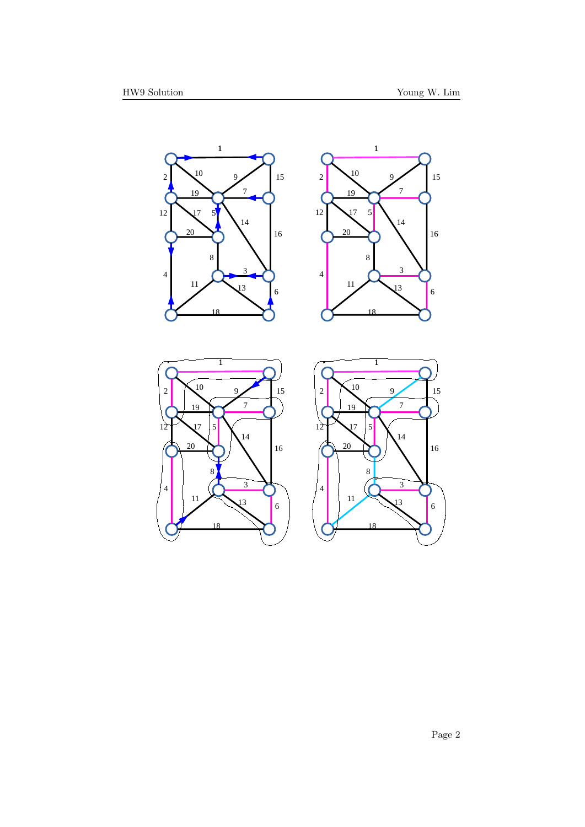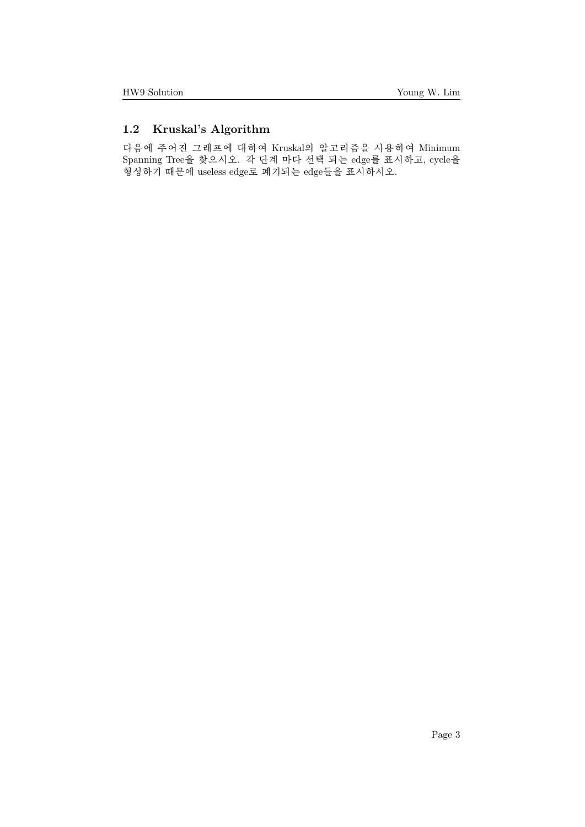## 1.2 Kruskal's Algorithm

다음에 주어진 그래프에 대하여 Kruskal의 알고리즘을 사용하여 Minimum Spanning Tree을 찾으시오. 각 단계 마다 선택 되는 edge를 표시하고, cycle을 형성하기 때문에 useless edge로 폐기되는 edge들을 표시하시오.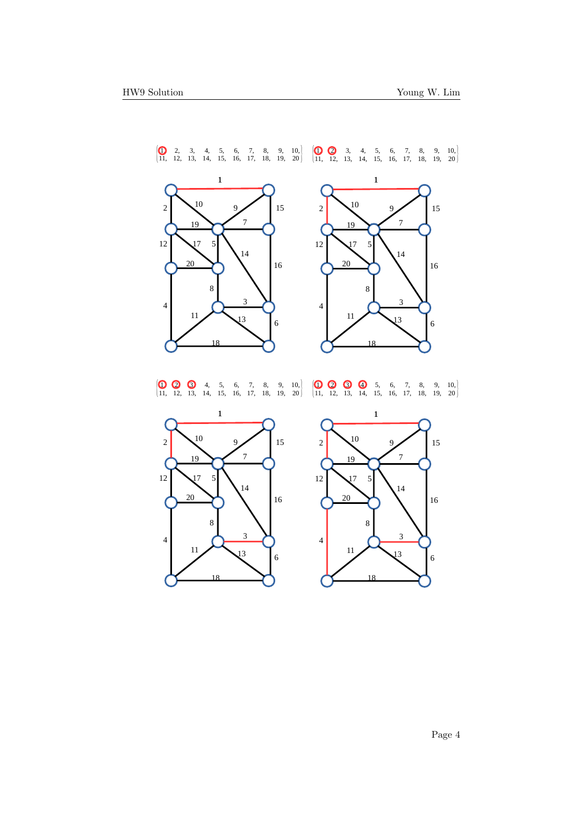

Page 4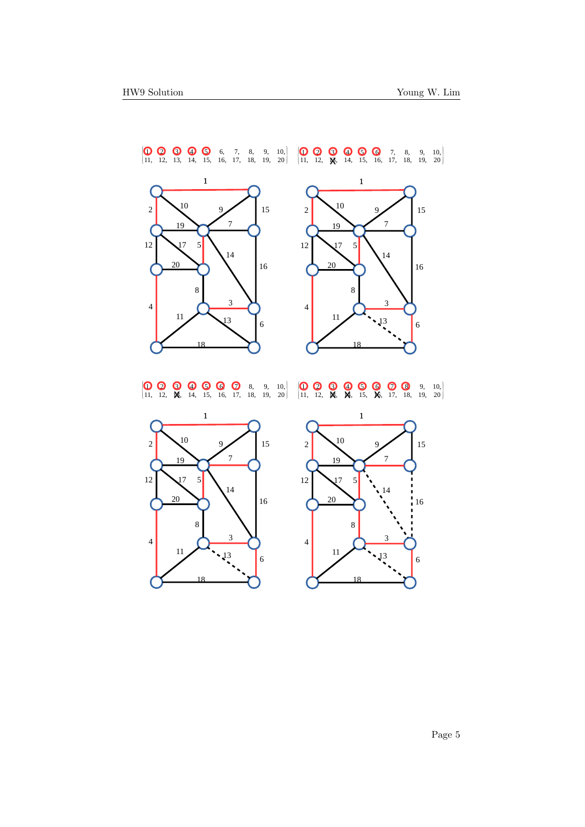

 $\begin{bmatrix} 0 & 0 & 0 & 0 \ 11 & 12 & 12 & 14 \end{bmatrix}$   $\begin{bmatrix} 0 & 0 & 0 & 0 \ 0 & 1 & 1 & 15 \end{bmatrix}$   $\begin{bmatrix} 0 & 0 & 0 & 0 \ 0 & 1 & 1 & 12 \end{bmatrix}$   $\begin{bmatrix} 0 & 0 & 0 & 0 \ 0 & 0 & 0 & 0 \end{bmatrix}$   $\begin{bmatrix} 0 & 0 & 0 & 0 \ 0 & 1 & 1 & 15 \end{bmatrix}$   $\begin{bmatrix} 0 & 0 & 0 & 0 \ 0 & 0$ 





Page 5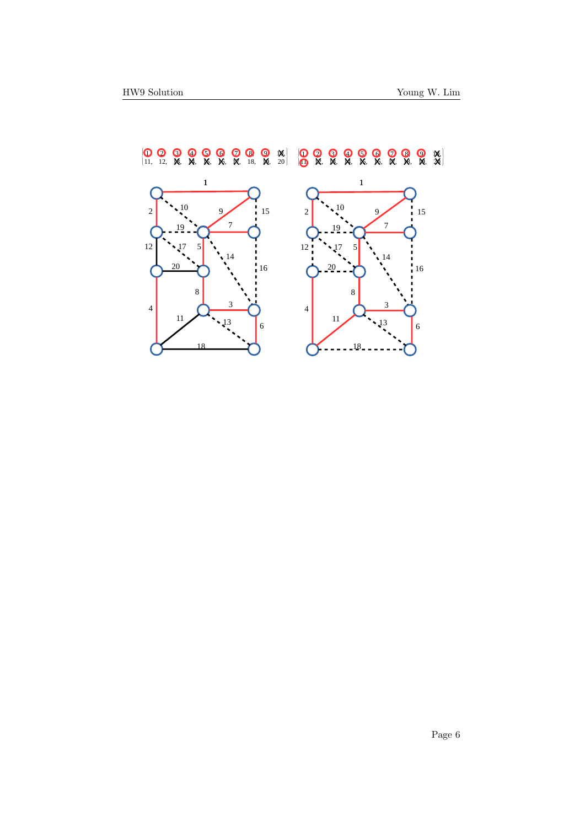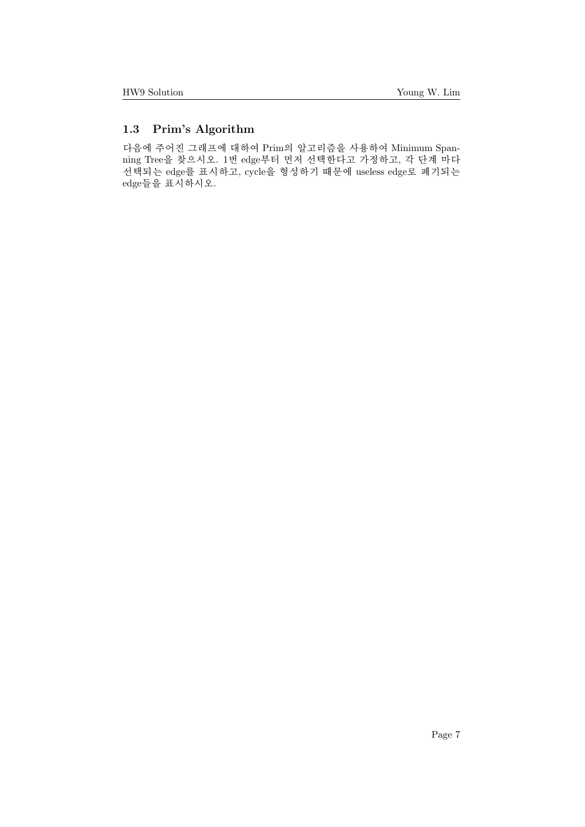## 1.3 Prim's Algorithm

다음에 주어진 그래프에 대하여 Prim의 알고리즘을 사용하여 Minimum Spanning Tree을 찾으시오. 1번 edge부터 먼저 선택한다고 가정하고, 각 단계 마다 선택되는 edge를 표시하고, cycle을 형성하기 때문에 useless edge로 폐기되는  $edge$ 들을 표시하시오.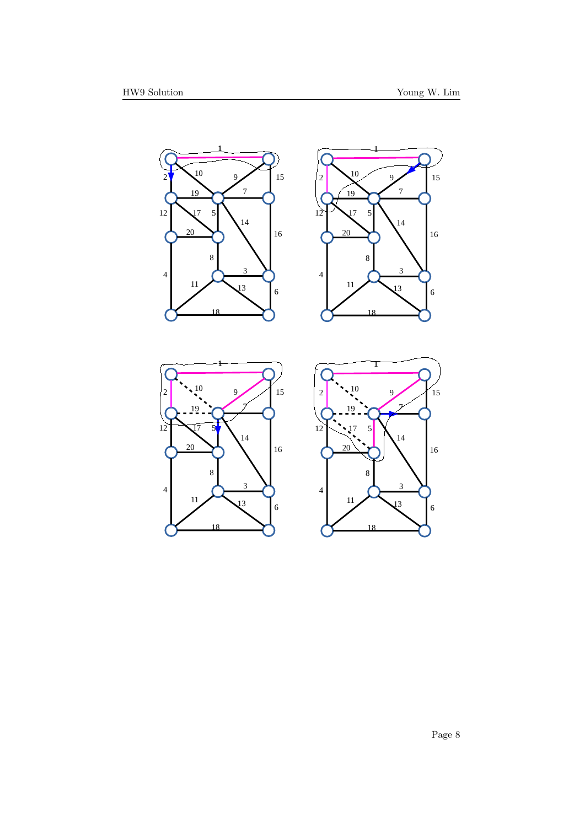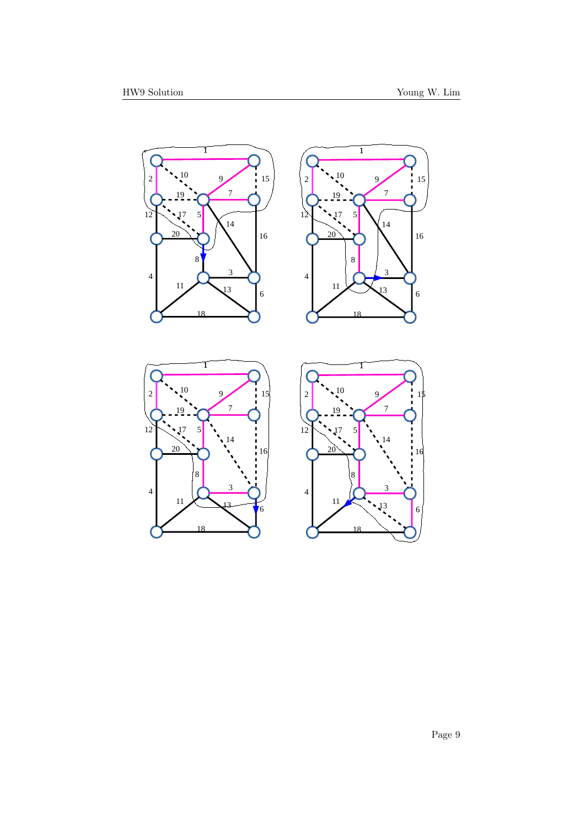